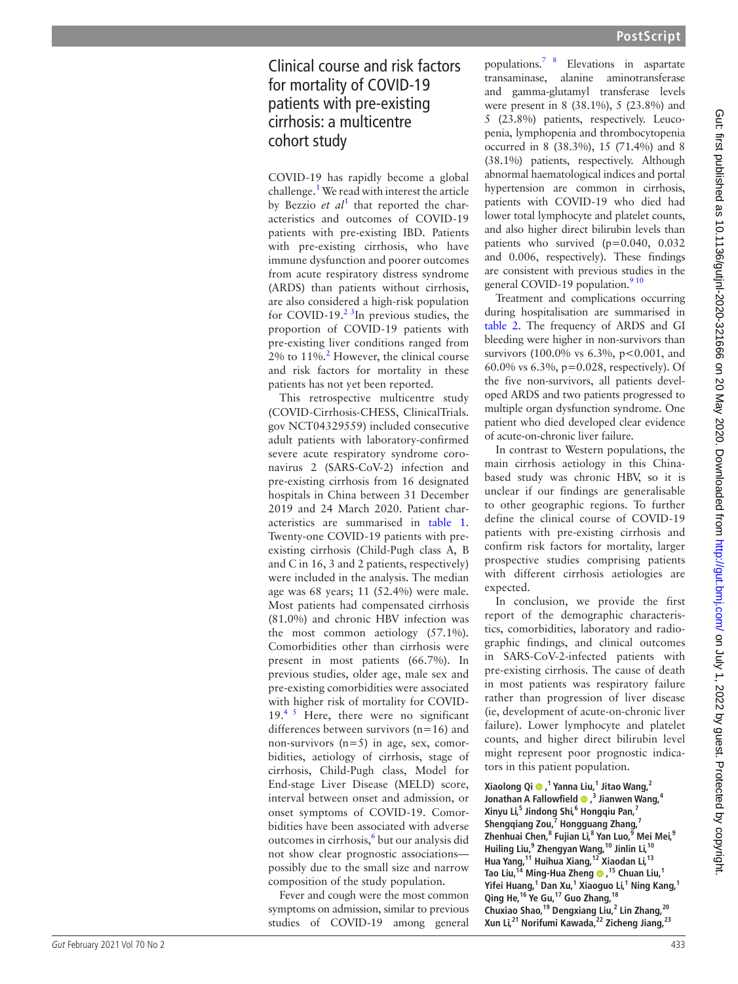# Clinical course and risk factors for mortality of COVID-19 patients with pre-existing cirrhosis: a multicentre cohort study

COVID-19 has rapidly become a global challenge. [1](#page--1-0) We read with interest the article by Bezzio et al<sup>[1](#page--1-0)</sup> that reported the characteristics and outcomes of COVID-19 patients with pre-existing IBD. Patients with pre-existing cirrhosis, who have immune dysfunction and poorer outcomes from acute respiratory distress syndrome (ARDS) than patients without cirrhosis, are also considered a high-risk population for COVID-19. $2 \times 3$ In previous studies, the proportion of COVID-19 patients with pre-existing liver conditions ranged from  $2\%$  $2\%$  to  $11\%$ <sup>2</sup> However, the clinical course and risk factors for mortality in these patients has not yet been reported.

This retrospective multicentre study (COVID-Cirrhosis-CHESS, ClinicalTrials. gov NCT04329559) included consecutive adult patients with laboratory-confirmed severe acute respiratory syndrome coronavirus 2 (SARS-CoV-2) infection and pre-existing cirrhosis from 16 designated hospitals in China between 31 December 2019 and 24 March 2020. Patient char acteristics are summarised in [table](#page-1-0) 1. Twenty-one COVID-19 patients with preexisting cirrhosis (Child-Pugh class A, B and C in 16, 3 and 2 patients, respectively) were included in the analysis. The median age was 68 years; 11 (52.4%) were male. Most patients had compensated cirrhosis (81.0%) and chronic HBV infection was the most common aetiology (57.1%). Comorbidities other than cirrhosis were present in most patients (66.7%). In previous studies, older age, male sex and pre-existing comorbidities were associated with higher risk of mortality for COVID- $19<sup>45</sup>$  Here, there were no significant differences between survivors (n=16) and non-survivors (n=5) in age, sex, comor bidities, aetiology of cirrhosis, stage of cirrhosis, Child-Pugh class, Model for End-stage Liver Disease (MELD) score, interval between onset and admission, or onset symptoms of COVID-19. Comor bidities have been associated with adverse outcomes in cirrhosis, [6](#page--1-3) but our analysis did not show clear prognostic associations possibly due to the small size and narrow composition of the study population.

<span id="page-0-0"></span>Fever and cough were the most common symptoms on admission, similar to previous studies of COVID-19 among general populations.[7 8](#page--1-4) Elevations in aspartate transaminase, alanine aminotransferase and gamma-glutamyl transferase levels were present in 8 (38.1%), 5 (23.8%) and 5 (23.8%) patients, respectively. Leuco penia, lymphopenia and thrombocytopenia occurred in 8 (38.3%), 15 (71.4%) and 8 (38.1%) patients, respectively. Although abnormal haematological indices and portal hypertension are common in cirrhosis, patients with COVID-19 who died had lower total lymphocyte and platelet counts, and also higher direct bilirubin levels than patients who survived (p=0.040, 0.032 and 0.006, respectively). These findings are consistent with previous studies in the general COVID-19 population.<sup>910</sup>

Treatment and complications occurring during hospitalisation are summarised in [table](#page-2-0) 2. The frequency of ARDS and GI bleeding were higher in non-survivors than survivors (100.0% vs 6.3%, p<0.001, and 60.0% vs 6.3%, p=0.028, respectively). Of the five non-survivors, all patients devel oped ARDS and two patients progressed to multiple organ dysfunction syndrome. One patient who died developed clear evidence of acute-on-chronic liver failure.

In contrast to Western populations, the main cirrhosis aetiology in this Chinabased study was chronic HBV, so it is unclear if our findings are generalisable to other geographic regions. To further define the clinical course of COVID-19 patients with pre-existing cirrhosis and confirm risk factors for mortality, larger prospective studies comprising patients with different cirrhosis aetiologies are expected.

In conclusion, we provide the first report of the demographic characteris tics, comorbidities, laboratory and radio graphic findings, and clinical outcomes in SARS-CoV-2-infected patients with pre-existing cirrhosis. The cause of death in most patients was respiratory failure rather than progression of liver disease (ie, development of acute-on-chronic liver failure). Lower lymphocyte and platelet counts, and higher direct bilirubin level might represent poor prognostic indica tors in this patient population.

**Xiaolong Qi, 1 Yanna Liu, 1 Jitao Wang, 2 Jonathan A Fallowfield**  $\bullet$  **,<sup>3</sup> Jianwen Wang,<sup>4</sup> Xinyu Li, 5 Jindong Shi, 6 Hongqiu Pan, 7 Shengqiang Zou, 7 Hongguang Zhang, 7 Zhenhuai Chen, 8 Fujian Li, 8 Yan Luo, 9 Mei Mei, 9 Huiling Liu, 9 Zhengyan Wang,10 Jinlin Li,10 Hua Yang,11 Huihua Xiang,12 Xiaodan Li,13** Tao Liu,<sup>14</sup> Ming-Hua Zheng <sup>®</sup>,<sup>15</sup> Chuan Liu,<sup>1</sup> Yifei Huang,<sup>1</sup> Dan Xu,<sup>1</sup> Xiaoguo Li,<sup>1</sup> Ning Kang,<sup>1</sup> **Qing He,16 Ye Gu,17 Guo Zhang,18 Chuxiao Shao,19 Dengxiang Liu, 2 Lin Zhang,20 Xun Li,21 Norifumi Kawada,22 Zicheng Jiang,23**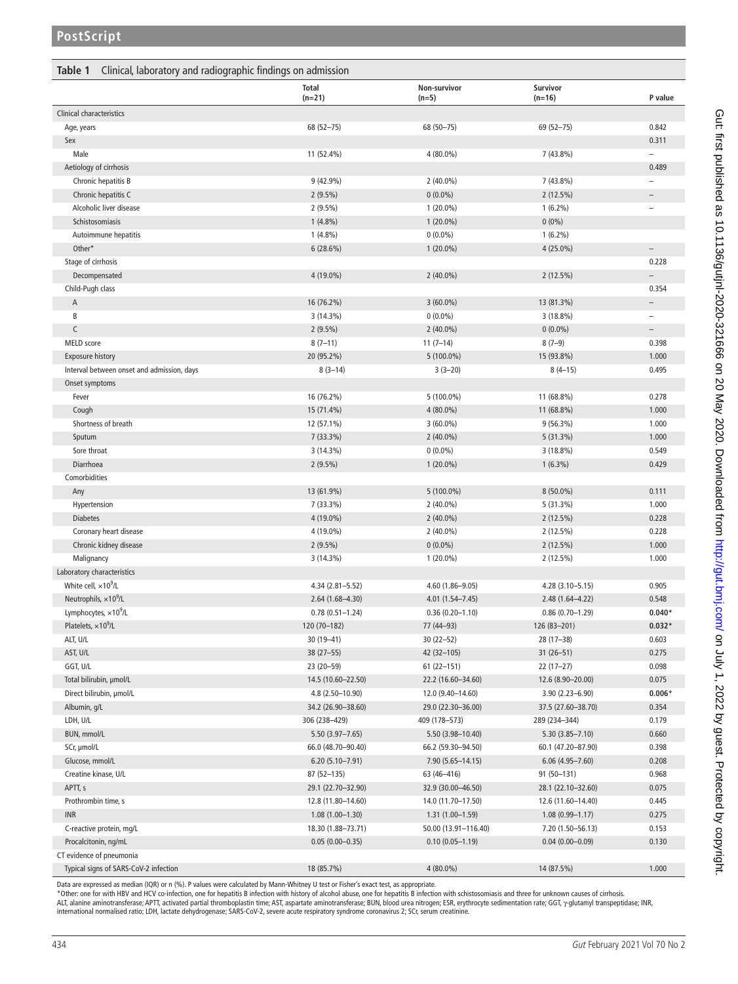<span id="page-1-0"></span>

|                                                                       | <b>Total</b><br>$(n=21)$ | Non-survivor<br>$(n=5)$    | Survivor<br>$(n=16)$    | P value                           |
|-----------------------------------------------------------------------|--------------------------|----------------------------|-------------------------|-----------------------------------|
| <b>Clinical characteristics</b>                                       |                          |                            |                         |                                   |
| Age, years                                                            | 68 (52-75)               | 68 (50-75)                 | 69 (52-75)              | 0.842                             |
| Sex                                                                   |                          |                            |                         | 0.311                             |
| Male                                                                  | 11 (52.4%)               | 4 (80.0%)                  | $7(43.8\%)$             |                                   |
| Aetiology of cirrhosis                                                |                          |                            |                         | 0.489                             |
| Chronic hepatitis B                                                   | 9 (42.9%)                | $2(40.0\%)$                | 7 (43.8%)               |                                   |
| Chronic hepatitis C                                                   | $2(9.5\%)$               | $0(0.0\%)$                 | 2(12.5%)                | $\overline{\phantom{a}}$          |
| Alcoholic liver disease                                               | $2(9.5\%)$               | $1(20.0\%)$                | $1(6.2\%)$              | $\overline{\phantom{a}}$          |
| Schistosomiasis                                                       | $1(4.8\%)$               | $1(20.0\%)$                | $0(0\%)$                |                                   |
| Autoimmune hepatitis                                                  | $1(4.8\%)$               | $0(0.0\%)$                 | $1(6.2\%)$              |                                   |
| Other*                                                                | 6(28.6%)                 | $1(20.0\%)$                | $4(25.0\%)$             | $\overline{\phantom{a}}$          |
| Stage of cirrhosis                                                    |                          |                            |                         | 0.228                             |
| Decompensated                                                         | 4 (19.0%)                | $2(40.0\%)$                | 2(12.5%)                | $\overline{\phantom{a}}$          |
| Child-Pugh class                                                      |                          |                            |                         | 0.354                             |
| Α                                                                     | 16 (76.2%)               | $3(60.0\%)$                | 13 (81.3%)              | $\overline{\phantom{a}}$          |
| B                                                                     | $3(14.3\%)$              | $0(0.0\%)$                 | 3(18.8%)                | $\overline{\phantom{a}}$          |
| $\mathsf C$<br>MELD score                                             | $2(9.5\%)$               | $2(40.0\%)$                | $0(0.0\%)$              | $\overline{\phantom{a}}$<br>0.398 |
|                                                                       | $8(7-11)$<br>20 (95.2%)  | $11(7-14)$<br>$5(100.0\%)$ | $8(7-9)$                | 1.000                             |
| <b>Exposure history</b><br>Interval between onset and admission, days | $8(3-14)$                | $3(3-20)$                  | 15 (93.8%)<br>$8(4-15)$ | 0.495                             |
|                                                                       |                          |                            |                         |                                   |
| Onset symptoms<br>Fever                                               | 16 (76.2%)               | 5 (100.0%)                 | 11 (68.8%)              | 0.278                             |
| Cough                                                                 | 15 (71.4%)               | 4 (80.0%)                  | 11 (68.8%)              | 1.000                             |
| Shortness of breath                                                   | 12 (57.1%)               | $3(60.0\%)$                | $9(56.3\%)$             | 1.000                             |
| Sputum                                                                | $7(33.3\%)$              | $2(40.0\%)$                | 5(31.3%)                | 1.000                             |
| Sore throat                                                           | 3(14.3%)                 | $0(0.0\%)$                 | 3(18.8%)                | 0.549                             |
| Diarrhoea                                                             | $2(9.5\%)$               | $1(20.0\%)$                | $1(6.3\%)$              | 0.429                             |
| Comorbidities                                                         |                          |                            |                         |                                   |
| Any                                                                   | 13 (61.9%)               | $5(100.0\%)$               | $8(50.0\%)$             | 0.111                             |
| Hypertension                                                          | 7 (33.3%)                | $2(40.0\%)$                | 5 (31.3%)               | 1.000                             |
| <b>Diabetes</b>                                                       | 4 (19.0%)                | $2(40.0\%)$                | $2(12.5\%)$             | 0.228                             |
| Coronary heart disease                                                | 4 (19.0%)                | $2(40.0\%)$                | $2(12.5\%)$             | 0.228                             |
| Chronic kidney disease                                                | $2(9.5\%)$               | $0(0.0\%)$                 | $2(12.5\%)$             | 1.000                             |
| Malignancy                                                            | 3(14.3%)                 | $1(20.0\%)$                | 2(12.5%)                | 1.000                             |
| Laboratory characteristics                                            |                          |                            |                         |                                   |
| White cell, $\times 10^9$ /L                                          | 4.34 (2.81-5.52)         | 4.60 (1.86-9.05)           | 4.28 (3.10-5.15)        | 0.905                             |
| Neutrophils, $\times 10^9$ /L                                         | 2.64 (1.68-4.30)         | 4.01 (1.54-7.45)           | 2.48 (1.64-4.22)        | 0.548                             |
| Lymphocytes, $\times 10^9$ /L                                         | $0.78(0.51 - 1.24)$      | $0.36(0.20 - 1.10)$        | $0.86(0.70 - 1.29)$     | $0.040*$                          |
| Platelets, $\times 10^9$ /L                                           | 120 (70-182)             | 77 (44–93)                 | 126 (83-201)            | $0.032*$                          |
| ALT, U/L                                                              | $30(19 - 41)$            | $30(22 - 52)$              | 28 (17-38)              | 0.603                             |
| AST, U/L                                                              | $38(27 - 55)$            | $42(32 - 105)$             | $31(26 - 51)$           | 0.275                             |
| GGT, U/L                                                              | $23(20-59)$              | $61(22-151)$               | $22(17-27)$             | 0.098                             |
| Total bilirubin, umol/L                                               | 14.5 (10.60-22.50)       | 22.2 (16.60-34.60)         | 12.6 (8.90-20.00)       | 0.075                             |
| Direct bilirubin, µmol/L                                              | 4.8 (2.50-10.90)         | 12.0 (9.40-14.60)          | $3.90(2.23 - 6.90)$     | $0.006*$                          |
| Albumin, g/L                                                          | 34.2 (26.90-38.60)       | 29.0 (22.30-36.00)         | 37.5 (27.60-38.70)      | 0.354                             |
| LDH, U/L                                                              | 306 (238-429)            | 409 (178-573)              | 289 (234-344)           | 0.179                             |
| BUN, mmol/L                                                           | $5.50(3.97 - 7.65)$      | 5.50 (3.98-10.40)          | $5.30(3.85 - 7.10)$     | 0.660                             |
| SCr, µmol/L                                                           | 66.0 (48.70-90.40)       | 66.2 (59.30-94.50)         | 60.1 (47.20-87.90)      | 0.398                             |
| Glucose, mmol/L                                                       | $6.20(5.10 - 7.91)$      | 7.90 (5.65-14.15)          | $6.06(4.95 - 7.60)$     | 0.208                             |
| Creatine kinase, U/L                                                  | $87(52 - 135)$           | 63 (46-416)                | 91 (50-131)             | 0.968                             |
| APTT, s                                                               | 29.1 (22.70-32.90)       | 32.9 (30.00-46.50)         | 28.1 (22.10-32.60)      | 0.075                             |
| Prothrombin time, s                                                   | 12.8 (11.80-14.60)       | 14.0 (11.70-17.50)         | 12.6 (11.60-14.40)      | 0.445                             |
| <b>INR</b>                                                            | $1.08(1.00-1.30)$        | $1.31(1.00-1.59)$          | $1.08(0.99 - 1.17)$     | 0.275                             |
| C-reactive protein, mg/L                                              | 18.30 (1.88-73.71)       | 50.00 (13.91-116.40)       | 7.20 (1.50-56.13)       | 0.153                             |
| Procalcitonin, ng/mL                                                  | $0.05(0.00 - 0.35)$      | $0.10(0.05 - 1.19)$        | $0.04(0.00 - 0.09)$     | 0.130                             |
| CT evidence of pneumonia                                              |                          |                            |                         |                                   |
| Typical signs of SARS-CoV-2 infection                                 | 18 (85.7%)               | 4 (80.0%)                  | 14 (87.5%)              | 1.000                             |

Data are expressed as median (IQR) or n (%). P values were calculated by Mann-Whitney U test or Fisher's exact test, as appropriate.<br>\* Other: one for with HBV and HCV co-infection, one for hepatitis B infection with histor international normalised ratio; LDH, lactate dehydrogenase; SARS-CoV-2, severe acute respiratory syndrome coronavirus 2; SCr, serum creatinine.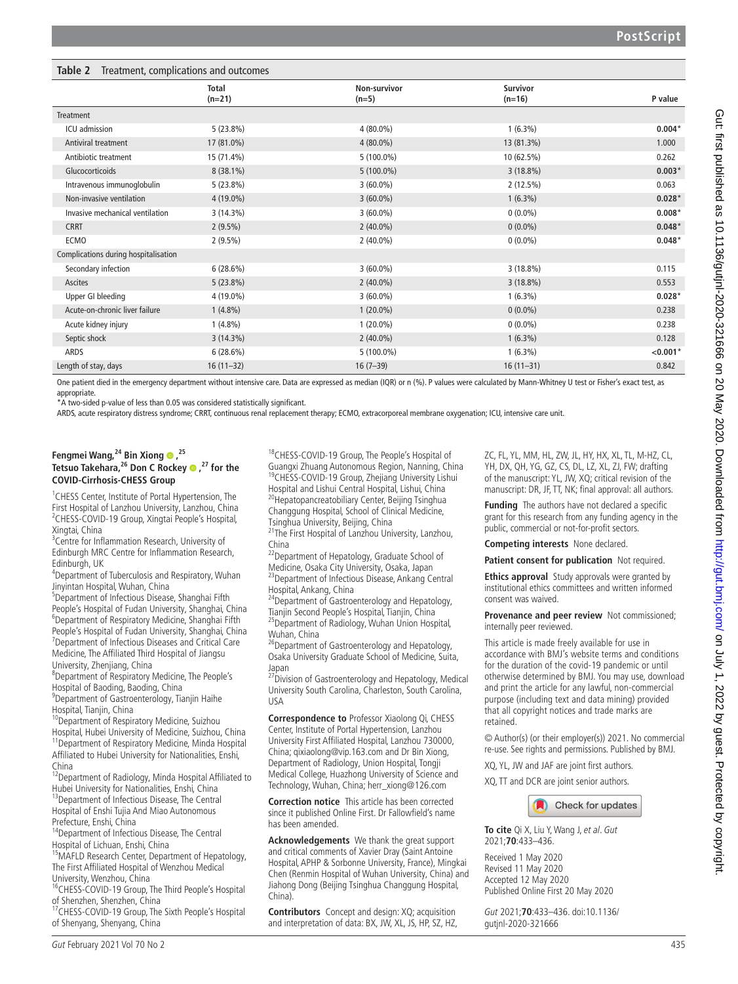<span id="page-2-0"></span>

| Table 2<br>Treatment, complications and outcomes |                          |                         |                             |            |  |  |
|--------------------------------------------------|--------------------------|-------------------------|-----------------------------|------------|--|--|
|                                                  | <b>Total</b><br>$(n=21)$ | Non-survivor<br>$(n=5)$ | <b>Survivor</b><br>$(n=16)$ | P value    |  |  |
| Treatment                                        |                          |                         |                             |            |  |  |
| ICU admission                                    | $5(23.8\%)$              | $4(80.0\%)$             | $1(6.3\%)$                  | $0.004*$   |  |  |
| <b>Antiviral treatment</b>                       | 17 (81.0%)               | $4(80.0\%)$             | 13 (81.3%)                  | 1.000      |  |  |
| Antibiotic treatment                             | 15 (71.4%)               | $5(100.0\%)$            | 10 (62.5%)                  | 0.262      |  |  |
| Glucocorticoids                                  | $8(38.1\%)$              | $5(100.0\%)$            | $3(18.8\%)$                 | $0.003*$   |  |  |
| Intravenous immunoglobulin                       | $5(23.8\%)$              | $3(60.0\%)$             | 2(12.5%)                    | 0.063      |  |  |
| Non-invasive ventilation                         | $4(19.0\%)$              | $3(60.0\%)$             | $1(6.3\%)$                  | $0.028*$   |  |  |
| Invasive mechanical ventilation                  | $3(14.3\%)$              | $3(60.0\%)$             | $0(0.0\%)$                  | $0.008*$   |  |  |
| <b>CRRT</b>                                      | $2(9.5\%)$               | $2(40.0\%)$             | $0(0.0\%)$                  | $0.048*$   |  |  |
| <b>ECMO</b>                                      | $2(9.5\%)$               | $2(40.0\%)$             | $0(0.0\%)$                  | $0.048*$   |  |  |
| Complications during hospitalisation             |                          |                         |                             |            |  |  |
| Secondary infection                              | 6(28.6%)                 | $3(60.0\%)$             | $3(18.8\%)$                 | 0.115      |  |  |
| Ascites                                          | $5(23.8\%)$              | $2(40.0\%)$             | $3(18.8\%)$                 | 0.553      |  |  |
| Upper GI bleeding                                | 4 (19.0%)                | $3(60.0\%)$             | $1(6.3\%)$                  | $0.028*$   |  |  |
| Acute-on-chronic liver failure                   | $1(4.8\%)$               | $1(20.0\%)$             | $0(0.0\%)$                  | 0.238      |  |  |
| Acute kidney injury                              | $1(4.8\%)$               | $1(20.0\%)$             | $0(0.0\%)$                  | 0.238      |  |  |
| Septic shock                                     | $3(14.3\%)$              | $2(40.0\%)$             | $1(6.3\%)$                  | 0.128      |  |  |
| <b>ARDS</b>                                      | 6(28.6%)                 | $5(100.0\%)$            | $1(6.3\%)$                  | $< 0.001*$ |  |  |
| Length of stay, days                             | $16(11-32)$              | $16(7-39)$              | $16(11-31)$                 | 0.842      |  |  |

One patient died in the emergency department without intensive care. Data are expressed as median (IQR) or n (%). P values were calculated by Mann-Whitney U test or Fisher's exact test, as appropriate.

\*A two-sided p-value of less than 0.05 was considered statistically significant.

ARDS, acute respiratory distress syndrome; CRRT, continuous renal replacement therapy; ECMO, extracorporeal membrane oxygenation; ICU, intensive care unit.

### **Fengmei Wang,24 Bin Xiong,25 Tetsuo Takehara,26 Don C Rockey,27 for the COVID-Cirrhosis-CHESS Group**

<sup>1</sup> CHESS Center, Institute of Portal Hypertension, The First Hospital of Lanzhou University, Lanzhou, China 2 CHESS-COVID-19 Group, Xingtai People's Hospital, Xingtai, China

<sup>3</sup> Centre for Inflammation Research, University of Edinburgh MRC Centre for Inflammation Research, Edinburgh, UK

4 Department of Tuberculosis and Respiratory, Wuhan Jinyintan Hospital, Wuhan, China

5 Department of Infectious Disease, Shanghai Fifth People's Hospital of Fudan University, Shanghai, China 6 Department of Respiratory Medicine, Shanghai Fifth People's Hospital of Fudan University, Shanghai, China 7 Department of Infectious Diseases and Critical Care Medicine, The Affiliated Third Hospital of Jiangsu University, Zhenjiang, China

8 Department of Respiratory Medicine, The People's Hospital of Baoding, Baoding, China

9 Department of Gastroenterology, Tianjin Haihe Hospital, Tianjin, China

<sup>10</sup>Department of Respiratory Medicine, Suizhou

Hospital, Hubei University of Medicine, Suizhou, China <sup>1</sup>Department of Respiratory Medicine, Minda Hospital Affiliated to Hubei University for Nationalities, Enshi, China

<sup>12</sup>Department of Radiology, Minda Hospital Affiliated to Hubei University for Nationalities, Enshi, China

<sup>13</sup>Department of Infectious Disease, The Central Hospital of Enshi Tujia And Miao Autonomous Prefecture, Enshi, China

<sup>14</sup>Department of Infectious Disease. The Central Hospital of Lichuan, Enshi, China

<sup>15</sup>MAFLD Research Center, Department of Hepatology, The First Affiliated Hospital of Wenzhou Medical University, Wenzhou, China

<sup>16</sup>CHESS-COVID-19 Group, The Third People's Hospital of Shenzhen, Shenzhen, China

<sup>17</sup>CHESS-COVID-19 Group, The Sixth People's Hospital of Shenyang, Shenyang, China

<sup>18</sup>CHESS-COVID-19 Group, The People's Hospital of Guangxi Zhuang Autonomous Region, Nanning, China 19CHESS-COVID-19 Group, Zhejiang University Lishui Hospital and Lishui Central Hospital, Lishui, China <sup>20</sup>Hepatopancreatobiliary Center, Beijing Tsinghua

Changgung Hospital, School of Clinical Medicine, Tsinghua University, Beijing, China

<sup>21</sup>The First Hospital of Lanzhou University, Lanzhou, China

<sup>22</sup>Department of Hepatology, Graduate School of Medicine, Osaka City University, Osaka, Japan

<sup>23</sup> Department of Infectious Disease, Ankang Central Hospital, Ankang, China

 $24$ Department of Gastroenterology and Hepatology, Tianjin Second People's Hospital, Tianjin, China <sup>25</sup>Department of Radiology, Wuhan Union Hospital, Wuhan, China

<sup>26</sup>Department of Gastroenterology and Hepatology, Osaka University Graduate School of Medicine, Suita, Japan

<sup>27</sup> Division of Gastroenterology and Hepatology, Medical University South Carolina, Charleston, South Carolina, USA

**Correspondence to** Professor Xiaolong Qi, CHESS Center, Institute of Portal Hypertension, Lanzhou University First Affiliated Hospital, Lanzhou 730000, China; qixiaolong@vip.163.com and Dr Bin Xiong, Department of Radiology, Union Hospital, Tongji Medical College, Huazhong University of Science and Technology, Wuhan, China; herr\_xiong@126.com

**Correction notice** This article has been corrected since it published Online First. Dr Fallowfield's name has been amended.

**Acknowledgements** We thank the great support and critical comments of Xavier Dray (Saint Antoine Hospital, APHP & Sorbonne University, France), Mingkai Chen (Renmin Hospital of Wuhan University, China) and Jiahong Dong (Beijing Tsinghua Changgung Hospital, China).

**Contributors** Concept and design: XQ; acquisition and interpretation of data: BX, JW, XL, JS, HP, SZ, HZ, ZC, FL, YL, MM, HL, ZW, JL, HY, HX, XL, TL, M-HZ, CL, YH, DX, QH, YG, GZ, CS, DL, LZ, XL, ZJ, FW; drafting of the manuscript: YL, JW, XQ; critical revision of the manuscript: DR, JF, TT, NK; final approval: all authors.

**Funding** The authors have not declared a specific grant for this research from any funding agency in the public, commercial or not-for-profit sectors.

**Competing interests** None declared.

**Patient consent for publication** Not required.

**Ethics approval** Study approvals were granted by institutional ethics committees and written informed consent was waived.

**Provenance and peer review** Not commissioned; internally peer reviewed.

This article is made freely available for use in accordance with BMJ's website terms and conditions for the duration of the covid-19 pandemic or until otherwise determined by BMJ. You may use, download and print the article for any lawful, non-commercial purpose (including text and data mining) provided that all copyright notices and trade marks are retained.

© Author(s) (or their employer(s)) 2021. No commercial re-use. See rights and permissions. Published by BMJ.

XQ, YL, JW and JAF are joint first authors.

XQ, TT and DCR are joint senior authors.



**To cite** Qi X, Liu Y, Wang J, et al. Gut 2021;**70**:433–436.

Received 1 May 2020 Revised 11 May 2020 Accepted 12 May 2020 Published Online First 20 May 2020

Gut 2021;**70**:433–436. doi:10.1136/ gutjnl-2020-321666